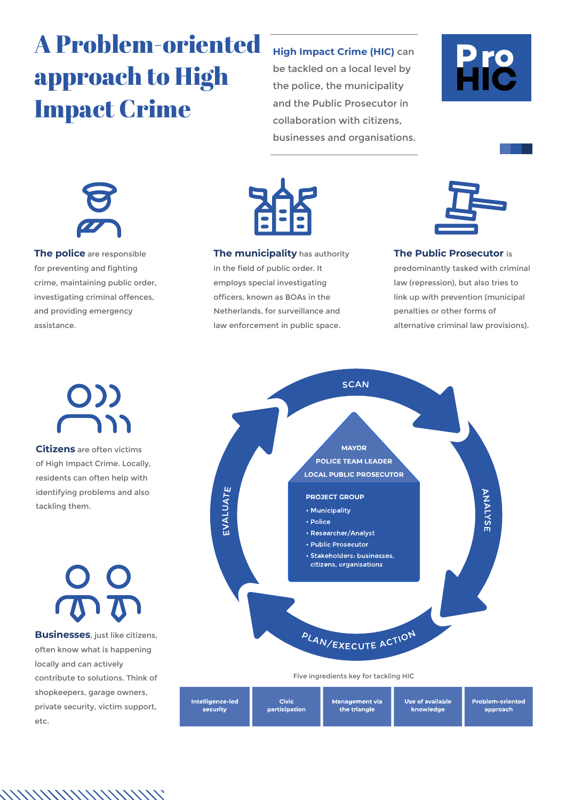## A Problem-oriented approach to High Impact Crime

#### **High Impact Crime (HIC)** can

be tackled on a local level by the police, the municipality and the Public Prosecutor in collaboration with citizens, businesses and organisations.





**The police** are responsible for preventing and fighting crime, maintaining public order, investigating criminal offences, and providing emergency assistance.



**The municipality** has authority in the field of public order. It employs special investigating officers, known as BOAs in the Netherlands, for surveillance and law enforcement in public space.



#### **The Public Prosecutor** is

predominantly tasked with criminal law (repression), but also tries to link up with prevention (municipal penalties or other forms of alternative criminal law provisions).

# $O$ ))

**Citizens** are often victims of High Impact Crime. Locally, residents can often help with identifying problems and also tackling them.

**Businesses**, just like citizens, often know what is happening locally and can actively contribute to solutions. Think of shopkeepers, garage owners, private security, victim support, etc.

*NNNNNNNNNNN* 



Five ingredients key for tackling HIC

| Intelligence-led | <b>Civic</b>  | Management via l | Use of available | <b>Problem-oriented</b> |
|------------------|---------------|------------------|------------------|-------------------------|
| security         | participation | the triangle     | knowledge        | approach                |